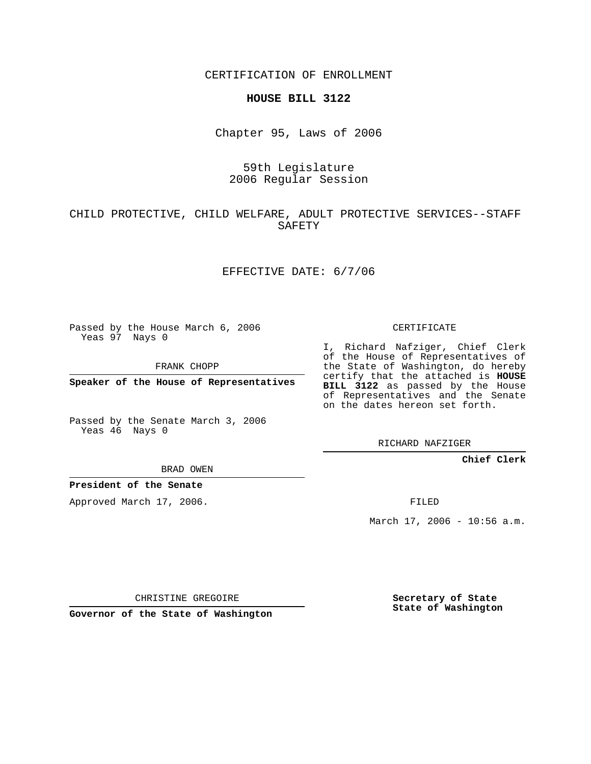CERTIFICATION OF ENROLLMENT

#### **HOUSE BILL 3122**

Chapter 95, Laws of 2006

## 59th Legislature 2006 Regular Session

# CHILD PROTECTIVE, CHILD WELFARE, ADULT PROTECTIVE SERVICES--STAFF SAFETY

### EFFECTIVE DATE: 6/7/06

Passed by the House March 6, 2006 Yeas 97 Nays 0

FRANK CHOPP

**Speaker of the House of Representatives**

Passed by the Senate March 3, 2006 Yeas 46 Nays 0

CERTIFICATE

I, Richard Nafziger, Chief Clerk of the House of Representatives of the State of Washington, do hereby certify that the attached is **HOUSE BILL 3122** as passed by the House of Representatives and the Senate on the dates hereon set forth.

RICHARD NAFZIGER

## **Chief Clerk**

BRAD OWEN

## **President of the Senate**

Approved March 17, 2006.

FILED

March 17, 2006 - 10:56 a.m.

CHRISTINE GREGOIRE

**Governor of the State of Washington**

**Secretary of State State of Washington**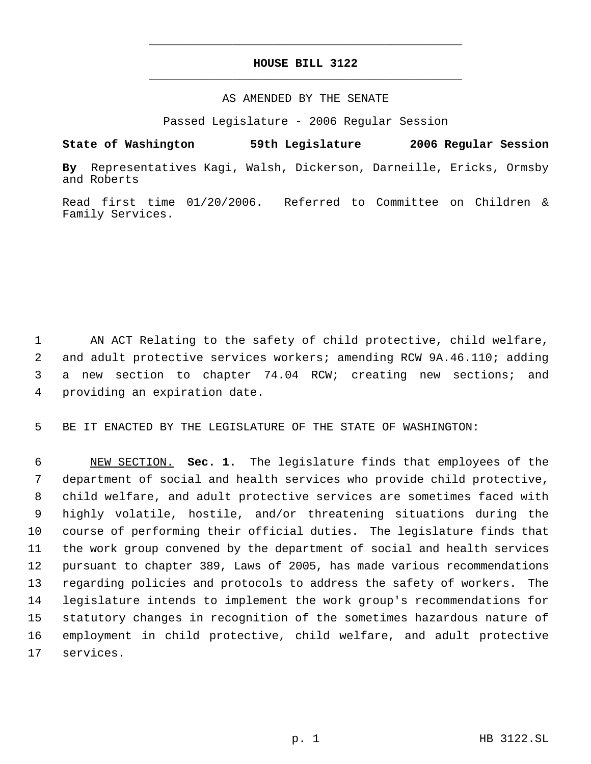# **HOUSE BILL 3122** \_\_\_\_\_\_\_\_\_\_\_\_\_\_\_\_\_\_\_\_\_\_\_\_\_\_\_\_\_\_\_\_\_\_\_\_\_\_\_\_\_\_\_\_\_

\_\_\_\_\_\_\_\_\_\_\_\_\_\_\_\_\_\_\_\_\_\_\_\_\_\_\_\_\_\_\_\_\_\_\_\_\_\_\_\_\_\_\_\_\_

#### AS AMENDED BY THE SENATE

Passed Legislature - 2006 Regular Session

**State of Washington 59th Legislature 2006 Regular Session By** Representatives Kagi, Walsh, Dickerson, Darneille, Ericks, Ormsby and Roberts

Read first time 01/20/2006. Referred to Committee on Children & Family Services.

 AN ACT Relating to the safety of child protective, child welfare, and adult protective services workers; amending RCW 9A.46.110; adding a new section to chapter 74.04 RCW; creating new sections; and providing an expiration date.

BE IT ENACTED BY THE LEGISLATURE OF THE STATE OF WASHINGTON:

 NEW SECTION. **Sec. 1.** The legislature finds that employees of the department of social and health services who provide child protective, child welfare, and adult protective services are sometimes faced with highly volatile, hostile, and/or threatening situations during the course of performing their official duties. The legislature finds that the work group convened by the department of social and health services pursuant to chapter 389, Laws of 2005, has made various recommendations regarding policies and protocols to address the safety of workers. The legislature intends to implement the work group's recommendations for statutory changes in recognition of the sometimes hazardous nature of employment in child protective, child welfare, and adult protective services.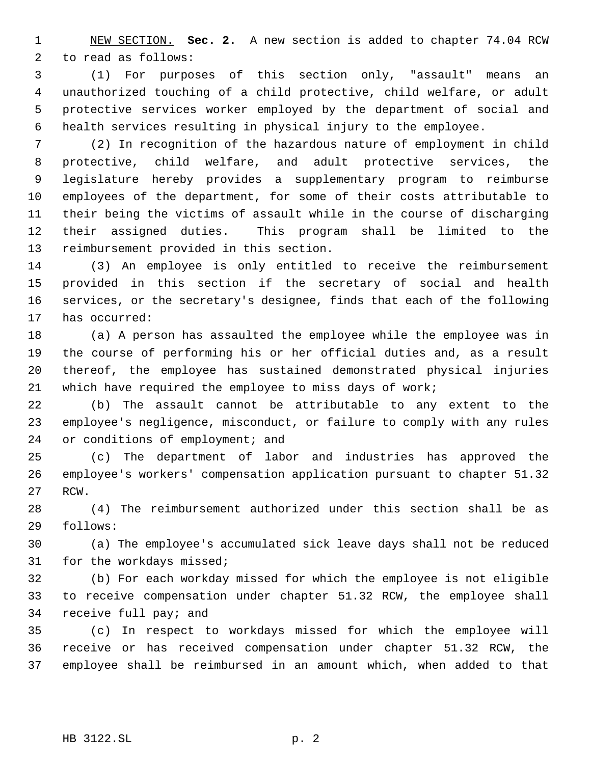NEW SECTION. **Sec. 2.** A new section is added to chapter 74.04 RCW to read as follows:

 (1) For purposes of this section only, "assault" means an unauthorized touching of a child protective, child welfare, or adult protective services worker employed by the department of social and health services resulting in physical injury to the employee.

 (2) In recognition of the hazardous nature of employment in child protective, child welfare, and adult protective services, the legislature hereby provides a supplementary program to reimburse employees of the department, for some of their costs attributable to their being the victims of assault while in the course of discharging their assigned duties. This program shall be limited to the reimbursement provided in this section.

 (3) An employee is only entitled to receive the reimbursement provided in this section if the secretary of social and health services, or the secretary's designee, finds that each of the following has occurred:

 (a) A person has assaulted the employee while the employee was in the course of performing his or her official duties and, as a result thereof, the employee has sustained demonstrated physical injuries which have required the employee to miss days of work;

 (b) The assault cannot be attributable to any extent to the employee's negligence, misconduct, or failure to comply with any rules 24 or conditions of employment; and

 (c) The department of labor and industries has approved the employee's workers' compensation application pursuant to chapter 51.32 RCW.

 (4) The reimbursement authorized under this section shall be as follows:

 (a) The employee's accumulated sick leave days shall not be reduced for the workdays missed;

 (b) For each workday missed for which the employee is not eligible to receive compensation under chapter 51.32 RCW, the employee shall receive full pay; and

 (c) In respect to workdays missed for which the employee will receive or has received compensation under chapter 51.32 RCW, the employee shall be reimbursed in an amount which, when added to that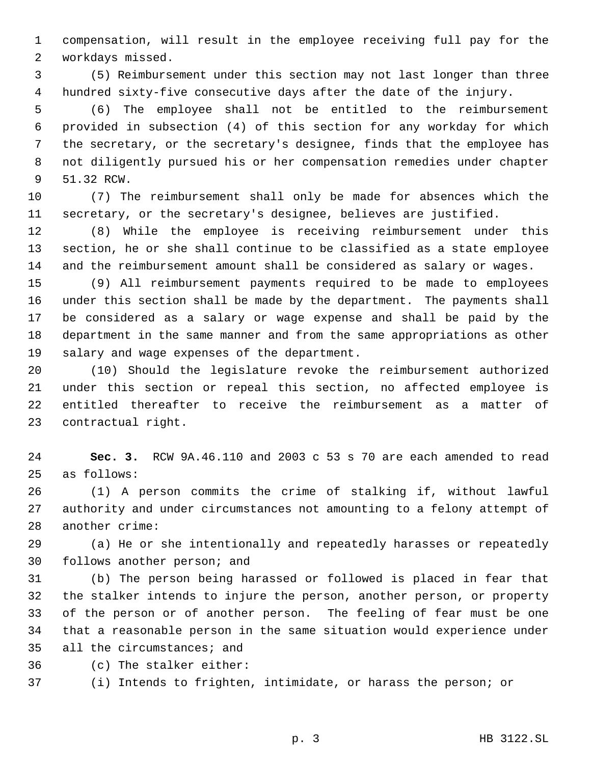compensation, will result in the employee receiving full pay for the workdays missed.

 (5) Reimbursement under this section may not last longer than three hundred sixty-five consecutive days after the date of the injury.

 (6) The employee shall not be entitled to the reimbursement provided in subsection (4) of this section for any workday for which the secretary, or the secretary's designee, finds that the employee has not diligently pursued his or her compensation remedies under chapter 51.32 RCW.

 (7) The reimbursement shall only be made for absences which the secretary, or the secretary's designee, believes are justified.

 (8) While the employee is receiving reimbursement under this section, he or she shall continue to be classified as a state employee and the reimbursement amount shall be considered as salary or wages.

 (9) All reimbursement payments required to be made to employees under this section shall be made by the department. The payments shall be considered as a salary or wage expense and shall be paid by the department in the same manner and from the same appropriations as other salary and wage expenses of the department.

 (10) Should the legislature revoke the reimbursement authorized under this section or repeal this section, no affected employee is entitled thereafter to receive the reimbursement as a matter of contractual right.

 **Sec. 3.** RCW 9A.46.110 and 2003 c 53 s 70 are each amended to read as follows:

 (1) A person commits the crime of stalking if, without lawful authority and under circumstances not amounting to a felony attempt of another crime:

 (a) He or she intentionally and repeatedly harasses or repeatedly follows another person; and

 (b) The person being harassed or followed is placed in fear that the stalker intends to injure the person, another person, or property of the person or of another person. The feeling of fear must be one that a reasonable person in the same situation would experience under all the circumstances; and

(c) The stalker either:

(i) Intends to frighten, intimidate, or harass the person; or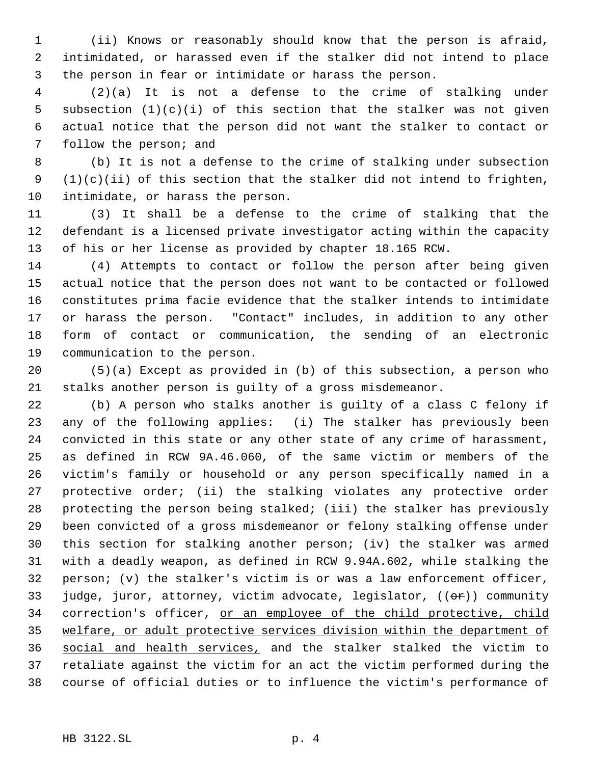(ii) Knows or reasonably should know that the person is afraid, intimidated, or harassed even if the stalker did not intend to place the person in fear or intimidate or harass the person.

 (2)(a) It is not a defense to the crime of stalking under 5 subsection  $(1)(c)(i)$  of this section that the stalker was not given actual notice that the person did not want the stalker to contact or follow the person; and

 (b) It is not a defense to the crime of stalking under subsection 9  $(1)(c)(ii)$  of this section that the stalker did not intend to frighten, intimidate, or harass the person.

 (3) It shall be a defense to the crime of stalking that the defendant is a licensed private investigator acting within the capacity of his or her license as provided by chapter 18.165 RCW.

 (4) Attempts to contact or follow the person after being given actual notice that the person does not want to be contacted or followed constitutes prima facie evidence that the stalker intends to intimidate or harass the person. "Contact" includes, in addition to any other form of contact or communication, the sending of an electronic communication to the person.

 (5)(a) Except as provided in (b) of this subsection, a person who stalks another person is guilty of a gross misdemeanor.

 (b) A person who stalks another is guilty of a class C felony if any of the following applies: (i) The stalker has previously been convicted in this state or any other state of any crime of harassment, as defined in RCW 9A.46.060, of the same victim or members of the victim's family or household or any person specifically named in a protective order; (ii) the stalking violates any protective order protecting the person being stalked; (iii) the stalker has previously been convicted of a gross misdemeanor or felony stalking offense under this section for stalking another person; (iv) the stalker was armed with a deadly weapon, as defined in RCW 9.94A.602, while stalking the person; (v) the stalker's victim is or was a law enforcement officer, 33 judge, juror, attorney, victim advocate, legislator,  $((\theta \cdot \hat{r}))$  community 34 correction's officer, or an employee of the child protective, child welfare, or adult protective services division within the department of social and health services, and the stalker stalked the victim to retaliate against the victim for an act the victim performed during the course of official duties or to influence the victim's performance of